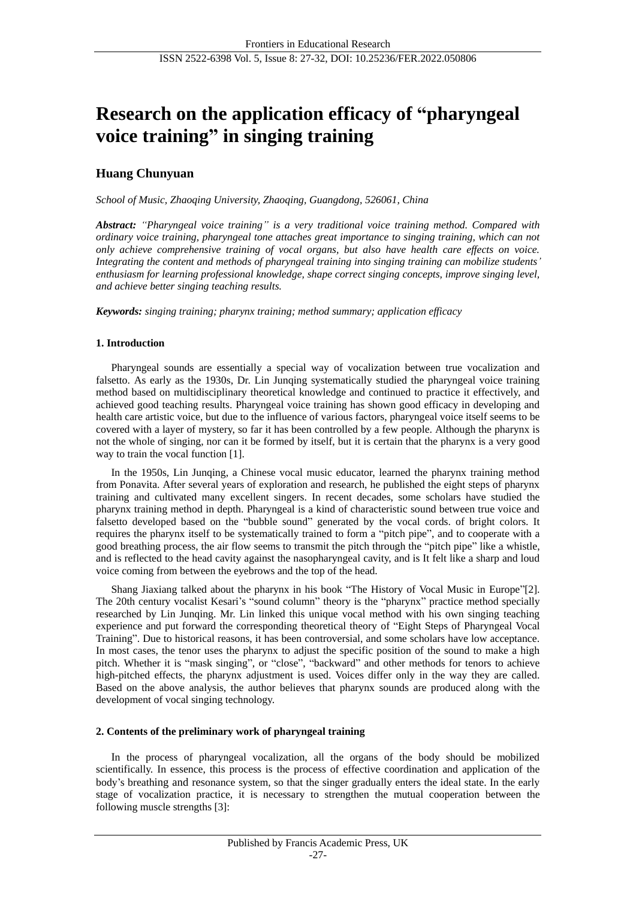# **Research on the application efficacy of "pharyngeal voice training" in singing training**

## **Huang Chunyuan**

*School of Music, Zhaoqing University, Zhaoqing, Guangdong, 526061, China*

*Abstract: "Pharyngeal voice training" is a very traditional voice training method. Compared with ordinary voice training, pharyngeal tone attaches great importance to singing training, which can not only achieve comprehensive training of vocal organs, but also have health care effects on voice. Integrating the content and methods of pharyngeal training into singing training can mobilize students' enthusiasm for learning professional knowledge, shape correct singing concepts, improve singing level, and achieve better singing teaching results.*

*Keywords: singing training; pharynx training; method summary; application efficacy*

## **1. Introduction**

Pharyngeal sounds are essentially a special way of vocalization between true vocalization and falsetto. As early as the 1930s, Dr. Lin Junqing systematically studied the pharyngeal voice training method based on multidisciplinary theoretical knowledge and continued to practice it effectively, and achieved good teaching results. Pharyngeal voice training has shown good efficacy in developing and health care artistic voice, but due to the influence of various factors, pharyngeal voice itself seems to be covered with a layer of mystery, so far it has been controlled by a few people. Although the pharynx is not the whole of singing, nor can it be formed by itself, but it is certain that the pharynx is a very good way to train the vocal function [1].

In the 1950s, Lin Junqing, a Chinese vocal music educator, learned the pharynx training method from Ponavita. After several years of exploration and research, he published the eight steps of pharynx training and cultivated many excellent singers. In recent decades, some scholars have studied the pharynx training method in depth. Pharyngeal is a kind of characteristic sound between true voice and falsetto developed based on the "bubble sound" generated by the vocal cords. of bright colors. It requires the pharynx itself to be systematically trained to form a "pitch pipe", and to cooperate with a good breathing process, the air flow seems to transmit the pitch through the "pitch pipe" like a whistle, and is reflected to the head cavity against the nasopharyngeal cavity, and is It felt like a sharp and loud voice coming from between the eyebrows and the top of the head.

Shang Jiaxiang talked about the pharynx in his book "The History of Vocal Music in Europe"[2]. The 20th century vocalist Kesari's "sound column" theory is the "pharynx" practice method specially researched by Lin Junqing. Mr. Lin linked this unique vocal method with his own singing teaching experience and put forward the corresponding theoretical theory of "Eight Steps of Pharyngeal Vocal Training". Due to historical reasons, it has been controversial, and some scholars have low acceptance. In most cases, the tenor uses the pharynx to adjust the specific position of the sound to make a high pitch. Whether it is "mask singing", or "close", "backward" and other methods for tenors to achieve high-pitched effects, the pharynx adjustment is used. Voices differ only in the way they are called. Based on the above analysis, the author believes that pharynx sounds are produced along with the development of vocal singing technology.

## **2. Contents of the preliminary work of pharyngeal training**

In the process of pharyngeal vocalization, all the organs of the body should be mobilized scientifically. In essence, this process is the process of effective coordination and application of the body's breathing and resonance system, so that the singer gradually enters the ideal state. In the early stage of vocalization practice, it is necessary to strengthen the mutual cooperation between the following muscle strengths [3]: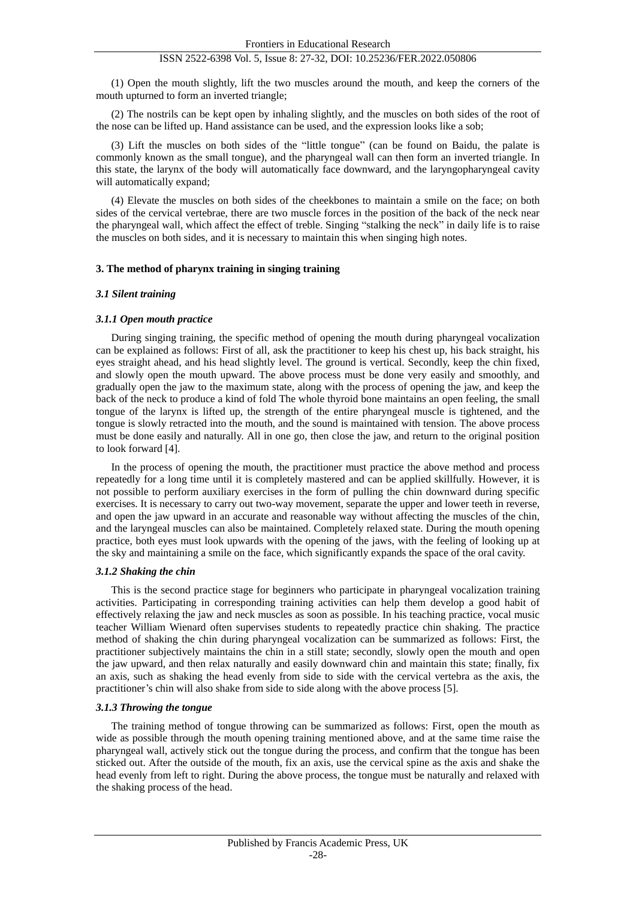(1) Open the mouth slightly, lift the two muscles around the mouth, and keep the corners of the mouth upturned to form an inverted triangle;

(2) The nostrils can be kept open by inhaling slightly, and the muscles on both sides of the root of the nose can be lifted up. Hand assistance can be used, and the expression looks like a sob;

(3) Lift the muscles on both sides of the "little tongue" (can be found on Baidu, the palate is commonly known as the small tongue), and the pharyngeal wall can then form an inverted triangle. In this state, the larynx of the body will automatically face downward, and the laryngopharyngeal cavity will automatically expand;

(4) Elevate the muscles on both sides of the cheekbones to maintain a smile on the face; on both sides of the cervical vertebrae, there are two muscle forces in the position of the back of the neck near the pharyngeal wall, which affect the effect of treble. Singing "stalking the neck" in daily life is to raise the muscles on both sides, and it is necessary to maintain this when singing high notes.

#### **3. The method of pharynx training in singing training**

#### *3.1 Silent training*

#### *3.1.1 Open mouth practice*

During singing training, the specific method of opening the mouth during pharyngeal vocalization can be explained as follows: First of all, ask the practitioner to keep his chest up, his back straight, his eyes straight ahead, and his head slightly level. The ground is vertical. Secondly, keep the chin fixed, and slowly open the mouth upward. The above process must be done very easily and smoothly, and gradually open the jaw to the maximum state, along with the process of opening the jaw, and keep the back of the neck to produce a kind of fold The whole thyroid bone maintains an open feeling, the small tongue of the larynx is lifted up, the strength of the entire pharyngeal muscle is tightened, and the tongue is slowly retracted into the mouth, and the sound is maintained with tension. The above process must be done easily and naturally. All in one go, then close the jaw, and return to the original position to look forward [4].

In the process of opening the mouth, the practitioner must practice the above method and process repeatedly for a long time until it is completely mastered and can be applied skillfully. However, it is not possible to perform auxiliary exercises in the form of pulling the chin downward during specific exercises. It is necessary to carry out two-way movement, separate the upper and lower teeth in reverse, and open the jaw upward in an accurate and reasonable way without affecting the muscles of the chin, and the laryngeal muscles can also be maintained. Completely relaxed state. During the mouth opening practice, both eyes must look upwards with the opening of the jaws, with the feeling of looking up at the sky and maintaining a smile on the face, which significantly expands the space of the oral cavity.

#### *3.1.2 Shaking the chin*

This is the second practice stage for beginners who participate in pharyngeal vocalization training activities. Participating in corresponding training activities can help them develop a good habit of effectively relaxing the jaw and neck muscles as soon as possible. In his teaching practice, vocal music teacher William Wienard often supervises students to repeatedly practice chin shaking. The practice method of shaking the chin during pharyngeal vocalization can be summarized as follows: First, the practitioner subjectively maintains the chin in a still state; secondly, slowly open the mouth and open the jaw upward, and then relax naturally and easily downward chin and maintain this state; finally, fix an axis, such as shaking the head evenly from side to side with the cervical vertebra as the axis, the practitioner's chin will also shake from side to side along with the above process [5].

## *3.1.3 Throwing the tongue*

The training method of tongue throwing can be summarized as follows: First, open the mouth as wide as possible through the mouth opening training mentioned above, and at the same time raise the pharyngeal wall, actively stick out the tongue during the process, and confirm that the tongue has been sticked out. After the outside of the mouth, fix an axis, use the cervical spine as the axis and shake the head evenly from left to right. During the above process, the tongue must be naturally and relaxed with the shaking process of the head.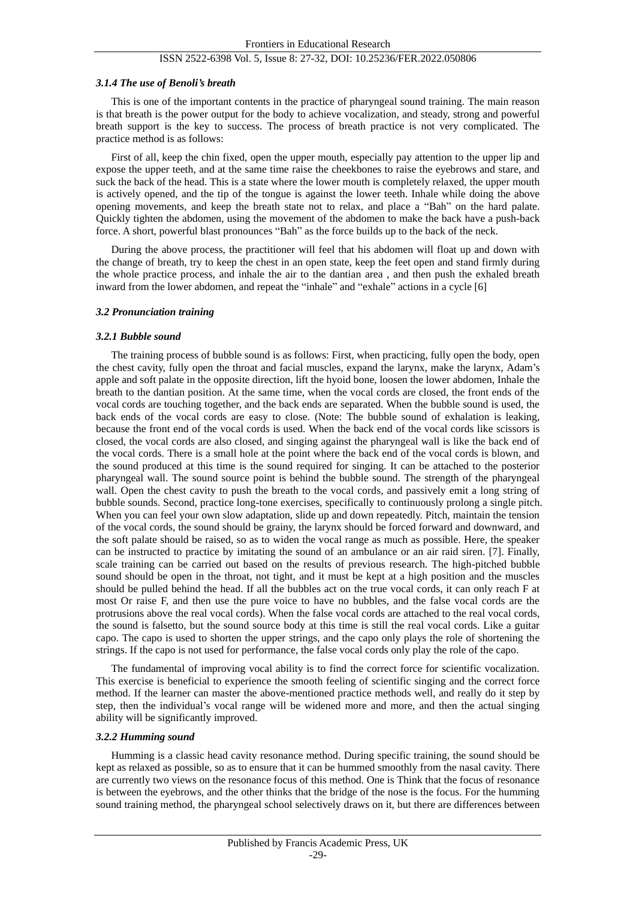## *3.1.4 The use of Benoli's breath*

This is one of the important contents in the practice of pharyngeal sound training. The main reason is that breath is the power output for the body to achieve vocalization, and steady, strong and powerful breath support is the key to success. The process of breath practice is not very complicated. The practice method is as follows:

First of all, keep the chin fixed, open the upper mouth, especially pay attention to the upper lip and expose the upper teeth, and at the same time raise the cheekbones to raise the eyebrows and stare, and suck the back of the head. This is a state where the lower mouth is completely relaxed, the upper mouth is actively opened, and the tip of the tongue is against the lower teeth. Inhale while doing the above opening movements, and keep the breath state not to relax, and place a "Bah" on the hard palate. Quickly tighten the abdomen, using the movement of the abdomen to make the back have a push-back force. A short, powerful blast pronounces "Bah" as the force builds up to the back of the neck.

During the above process, the practitioner will feel that his abdomen will float up and down with the change of breath, try to keep the chest in an open state, keep the feet open and stand firmly during the whole practice process, and inhale the air to the dantian area , and then push the exhaled breath inward from the lower abdomen, and repeat the "inhale" and "exhale" actions in a cycle [6]

## *3.2 Pronunciation training*

## *3.2.1 Bubble sound*

The training process of bubble sound is as follows: First, when practicing, fully open the body, open the chest cavity, fully open the throat and facial muscles, expand the larynx, make the larynx, Adam's apple and soft palate in the opposite direction, lift the hyoid bone, loosen the lower abdomen, Inhale the breath to the dantian position. At the same time, when the vocal cords are closed, the front ends of the vocal cords are touching together, and the back ends are separated. When the bubble sound is used, the back ends of the vocal cords are easy to close. (Note: The bubble sound of exhalation is leaking, because the front end of the vocal cords is used. When the back end of the vocal cords like scissors is closed, the vocal cords are also closed, and singing against the pharyngeal wall is like the back end of the vocal cords. There is a small hole at the point where the back end of the vocal cords is blown, and the sound produced at this time is the sound required for singing. It can be attached to the posterior pharyngeal wall. The sound source point is behind the bubble sound. The strength of the pharyngeal wall. Open the chest cavity to push the breath to the vocal cords, and passively emit a long string of bubble sounds. Second, practice long-tone exercises, specifically to continuously prolong a single pitch. When you can feel your own slow adaptation, slide up and down repeatedly. Pitch, maintain the tension of the vocal cords, the sound should be grainy, the larynx should be forced forward and downward, and the soft palate should be raised, so as to widen the vocal range as much as possible. Here, the speaker can be instructed to practice by imitating the sound of an ambulance or an air raid siren. [7]. Finally, scale training can be carried out based on the results of previous research. The high-pitched bubble sound should be open in the throat, not tight, and it must be kept at a high position and the muscles should be pulled behind the head. If all the bubbles act on the true vocal cords, it can only reach F at most Or raise F, and then use the pure voice to have no bubbles, and the false vocal cords are the protrusions above the real vocal cords). When the false vocal cords are attached to the real vocal cords, the sound is falsetto, but the sound source body at this time is still the real vocal cords. Like a guitar capo. The capo is used to shorten the upper strings, and the capo only plays the role of shortening the strings. If the capo is not used for performance, the false vocal cords only play the role of the capo.

The fundamental of improving vocal ability is to find the correct force for scientific vocalization. This exercise is beneficial to experience the smooth feeling of scientific singing and the correct force method. If the learner can master the above-mentioned practice methods well, and really do it step by step, then the individual's vocal range will be widened more and more, and then the actual singing ability will be significantly improved.

#### *3.2.2 Humming sound*

Humming is a classic head cavity resonance method. During specific training, the sound should be kept as relaxed as possible, so as to ensure that it can be hummed smoothly from the nasal cavity. There are currently two views on the resonance focus of this method. One is Think that the focus of resonance is between the eyebrows, and the other thinks that the bridge of the nose is the focus. For the humming sound training method, the pharyngeal school selectively draws on it, but there are differences between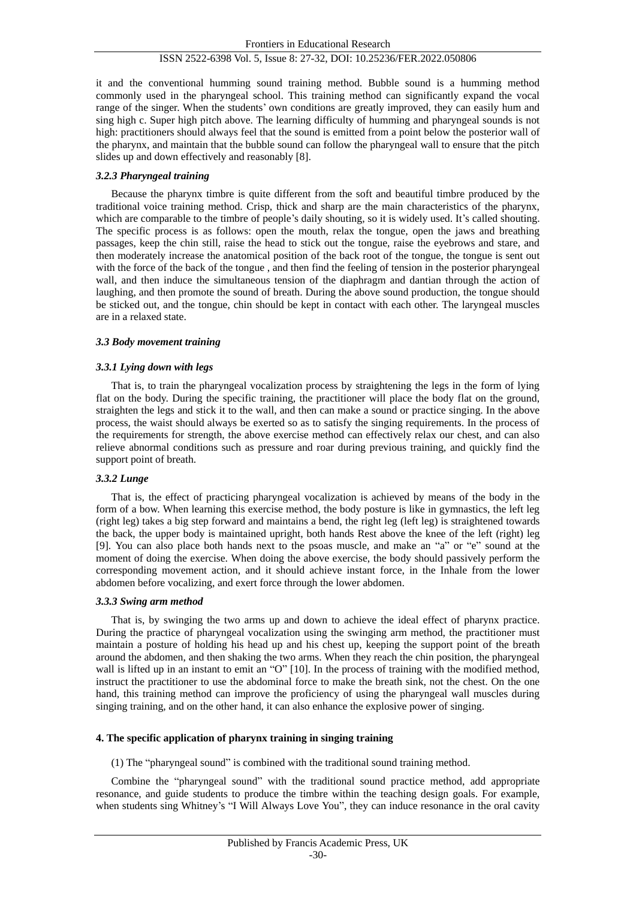it and the conventional humming sound training method. Bubble sound is a humming method commonly used in the pharyngeal school. This training method can significantly expand the vocal range of the singer. When the students' own conditions are greatly improved, they can easily hum and sing high c. Super high pitch above. The learning difficulty of humming and pharyngeal sounds is not high: practitioners should always feel that the sound is emitted from a point below the posterior wall of the pharynx, and maintain that the bubble sound can follow the pharyngeal wall to ensure that the pitch slides up and down effectively and reasonably [8].

## *3.2.3 Pharyngeal training*

Because the pharynx timbre is quite different from the soft and beautiful timbre produced by the traditional voice training method. Crisp, thick and sharp are the main characteristics of the pharynx, which are comparable to the timbre of people's daily shouting, so it is widely used. It's called shouting. The specific process is as follows: open the mouth, relax the tongue, open the jaws and breathing passages, keep the chin still, raise the head to stick out the tongue, raise the eyebrows and stare, and then moderately increase the anatomical position of the back root of the tongue, the tongue is sent out with the force of the back of the tongue , and then find the feeling of tension in the posterior pharyngeal wall, and then induce the simultaneous tension of the diaphragm and dantian through the action of laughing, and then promote the sound of breath. During the above sound production, the tongue should be sticked out, and the tongue, chin should be kept in contact with each other. The laryngeal muscles are in a relaxed state.

## *3.3 Body movement training*

## *3.3.1 Lying down with legs*

That is, to train the pharyngeal vocalization process by straightening the legs in the form of lying flat on the body. During the specific training, the practitioner will place the body flat on the ground, straighten the legs and stick it to the wall, and then can make a sound or practice singing. In the above process, the waist should always be exerted so as to satisfy the singing requirements. In the process of the requirements for strength, the above exercise method can effectively relax our chest, and can also relieve abnormal conditions such as pressure and roar during previous training, and quickly find the support point of breath.

## *3.3.2 Lunge*

That is, the effect of practicing pharyngeal vocalization is achieved by means of the body in the form of a bow. When learning this exercise method, the body posture is like in gymnastics, the left leg (right leg) takes a big step forward and maintains a bend, the right leg (left leg) is straightened towards the back, the upper body is maintained upright, both hands Rest above the knee of the left (right) leg [9]. You can also place both hands next to the psoas muscle, and make an "a" or "e" sound at the moment of doing the exercise. When doing the above exercise, the body should passively perform the corresponding movement action, and it should achieve instant force, in the Inhale from the lower abdomen before vocalizing, and exert force through the lower abdomen.

#### *3.3.3 Swing arm method*

That is, by swinging the two arms up and down to achieve the ideal effect of pharynx practice. During the practice of pharyngeal vocalization using the swinging arm method, the practitioner must maintain a posture of holding his head up and his chest up, keeping the support point of the breath around the abdomen, and then shaking the two arms. When they reach the chin position, the pharyngeal wall is lifted up in an instant to emit an "O" [10]. In the process of training with the modified method, instruct the practitioner to use the abdominal force to make the breath sink, not the chest. On the one hand, this training method can improve the proficiency of using the pharyngeal wall muscles during singing training, and on the other hand, it can also enhance the explosive power of singing.

## **4. The specific application of pharynx training in singing training**

(1) The "pharyngeal sound" is combined with the traditional sound training method.

Combine the "pharyngeal sound" with the traditional sound practice method, add appropriate resonance, and guide students to produce the timbre within the teaching design goals. For example, when students sing Whitney's "I Will Always Love You", they can induce resonance in the oral cavity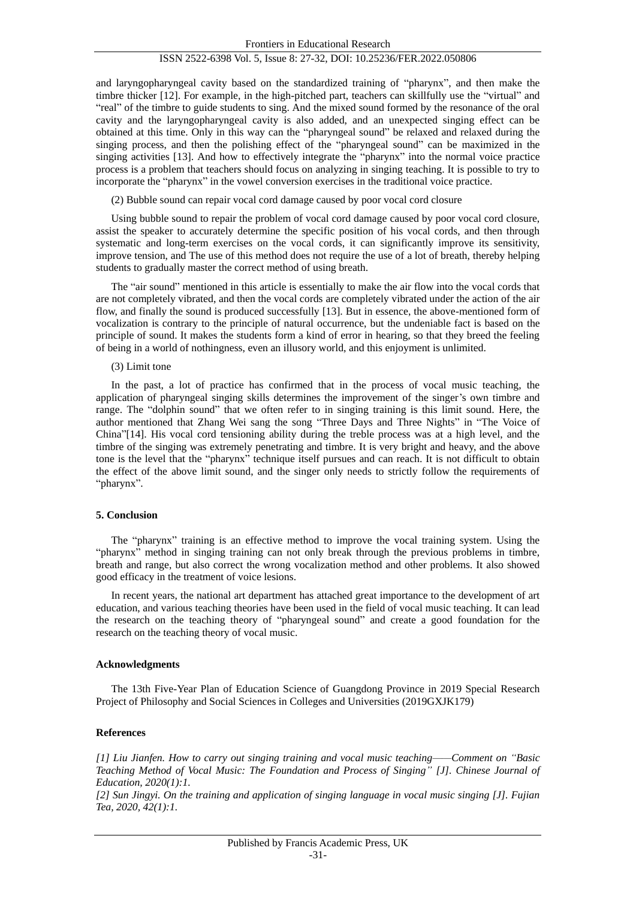and laryngopharyngeal cavity based on the standardized training of "pharynx", and then make the timbre thicker [12]. For example, in the high-pitched part, teachers can skillfully use the "virtual" and "real" of the timbre to guide students to sing. And the mixed sound formed by the resonance of the oral cavity and the laryngopharyngeal cavity is also added, and an unexpected singing effect can be obtained at this time. Only in this way can the "pharyngeal sound" be relaxed and relaxed during the singing process, and then the polishing effect of the "pharyngeal sound" can be maximized in the singing activities [13]. And how to effectively integrate the "pharynx" into the normal voice practice process is a problem that teachers should focus on analyzing in singing teaching. It is possible to try to incorporate the "pharynx" in the vowel conversion exercises in the traditional voice practice.

(2) Bubble sound can repair vocal cord damage caused by poor vocal cord closure

Using bubble sound to repair the problem of vocal cord damage caused by poor vocal cord closure, assist the speaker to accurately determine the specific position of his vocal cords, and then through systematic and long-term exercises on the vocal cords, it can significantly improve its sensitivity, improve tension, and The use of this method does not require the use of a lot of breath, thereby helping students to gradually master the correct method of using breath.

The "air sound" mentioned in this article is essentially to make the air flow into the vocal cords that are not completely vibrated, and then the vocal cords are completely vibrated under the action of the air flow, and finally the sound is produced successfully [13]. But in essence, the above-mentioned form of vocalization is contrary to the principle of natural occurrence, but the undeniable fact is based on the principle of sound. It makes the students form a kind of error in hearing, so that they breed the feeling of being in a world of nothingness, even an illusory world, and this enjoyment is unlimited.

(3) Limit tone

In the past, a lot of practice has confirmed that in the process of vocal music teaching, the application of pharyngeal singing skills determines the improvement of the singer's own timbre and range. The "dolphin sound" that we often refer to in singing training is this limit sound. Here, the author mentioned that Zhang Wei sang the song "Three Days and Three Nights" in "The Voice of China"[14]. His vocal cord tensioning ability during the treble process was at a high level, and the timbre of the singing was extremely penetrating and timbre. It is very bright and heavy, and the above tone is the level that the "pharynx" technique itself pursues and can reach. It is not difficult to obtain the effect of the above limit sound, and the singer only needs to strictly follow the requirements of "pharynx".

#### **5. Conclusion**

The "pharynx" training is an effective method to improve the vocal training system. Using the "pharynx" method in singing training can not only break through the previous problems in timbre, breath and range, but also correct the wrong vocalization method and other problems. It also showed good efficacy in the treatment of voice lesions.

In recent years, the national art department has attached great importance to the development of art education, and various teaching theories have been used in the field of vocal music teaching. It can lead the research on the teaching theory of "pharyngeal sound" and create a good foundation for the research on the teaching theory of vocal music.

#### **Acknowledgments**

The 13th Five-Year Plan of Education Science of Guangdong Province in 2019 Special Research Project of Philosophy and Social Sciences in Colleges and Universities (2019GXJK179)

#### **References**

*[1] Liu Jianfen. How to carry out singing training and vocal music teaching——Comment on "Basic Teaching Method of Vocal Music: The Foundation and Process of Singing" [J]. Chinese Journal of Education, 2020(1):1.*

*[2] Sun Jingyi. On the training and application of singing language in vocal music singing [J]. Fujian Tea, 2020, 42(1):1.*